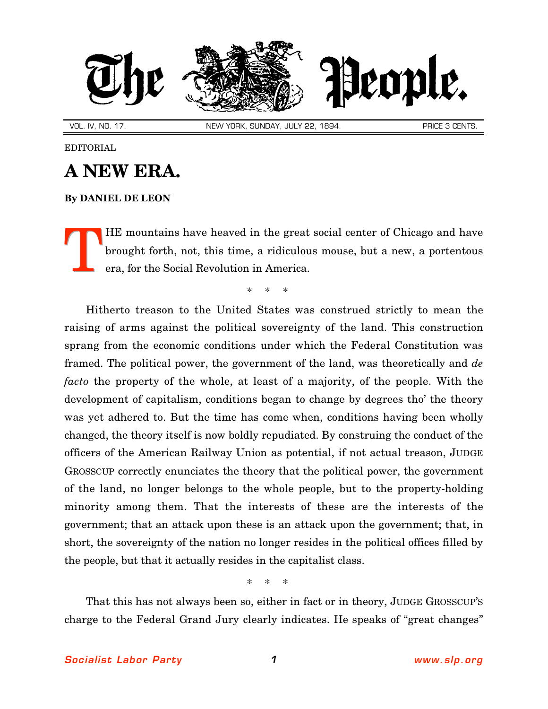

VOL. IV, NO. 17. NEW YORK, SUNDAY, JULY 22, 1894. NEW YORK, SUNDAY, JULY 22, 1894.

## EDITORIAL

## **A NEW ERA.**

## **By [DANIEL DE LEON](http://slp.org/De_Leon.htm)**

HE mountains have heaved in the great social center of Chicago and have brought forth, not, this time, a ridiculous mouse, but a new, a portentous era, for the Social Revolution in America. T

\* \* \*

Hitherto treason to the United States was construed strictly to mean the raising of arms against the political sovereignty of the land. This construction sprang from the economic conditions under which the Federal Constitution was framed. The political power, the government of the land, was theoretically and *de facto* the property of the whole, at least of a majority, of the people. With the development of capitalism, conditions began to change by degrees tho' the theory was yet adhered to. But the time has come when, conditions having been wholly changed, the theory itself is now boldly repudiated. By construing the conduct of the officers of the American Railway Union as potential, if not actual treason, JUDGE GROSSCUP correctly enunciates the theory that the political power, the government of the land, no longer belongs to the whole people, but to the property-holding minority among them. That the interests of these are the interests of the government; that an attack upon these is an attack upon the government; that, in short, the sovereignty of the nation no longer resides in the political offices filled by the people, but that it actually resides in the capitalist class.

\* \* \*

That this has not always been so, either in fact or in theory, JUDGE GROSSCUP'S charge to the Federal Grand Jury clearly indicates. He speaks of "great changes"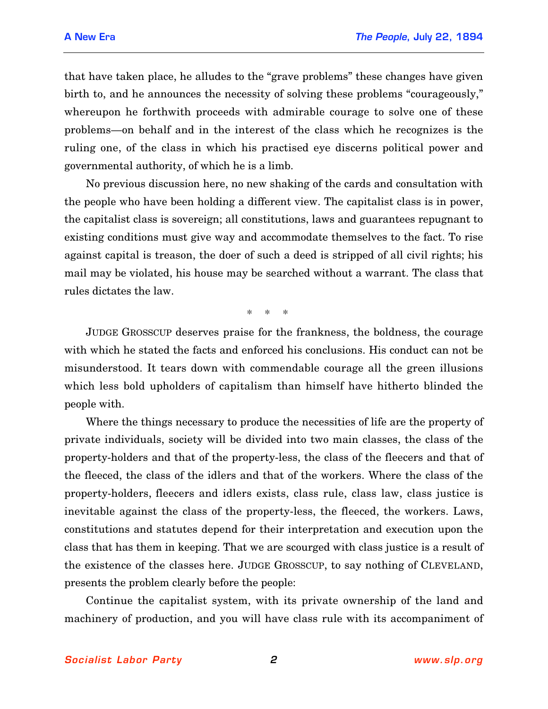that have taken place, he alludes to the "grave problems" these changes have given birth to, and he announces the necessity of solving these problems "courageously," whereupon he forthwith proceeds with admirable courage to solve one of these problems—on behalf and in the interest of the class which he recognizes is the ruling one, of the class in which his practised eye discerns political power and governmental authority, of which he is a limb.

No previous discussion here, no new shaking of the cards and consultation with the people who have been holding a different view. The capitalist class is in power, the capitalist class is sovereign; all constitutions, laws and guarantees repugnant to existing conditions must give way and accommodate themselves to the fact. To rise against capital is treason, the doer of such a deed is stripped of all civil rights; his mail may be violated, his house may be searched without a warrant. The class that rules dictates the law.

\* \* \*

JUDGE GROSSCUP deserves praise for the frankness, the boldness, the courage with which he stated the facts and enforced his conclusions. His conduct can not be misunderstood. It tears down with commendable courage all the green illusions which less bold upholders of capitalism than himself have hitherto blinded the people with.

Where the things necessary to produce the necessities of life are the property of private individuals, society will be divided into two main classes, the class of the property-holders and that of the property-less, the class of the fleecers and that of the fleeced, the class of the idlers and that of the workers. Where the class of the property-holders, fleecers and idlers exists, class rule, class law, class justice is inevitable against the class of the property-less, the fleeced, the workers. Laws, constitutions and statutes depend for their interpretation and execution upon the class that has them in keeping. That we are scourged with class justice is a result of the existence of the classes here. JUDGE GROSSCUP, to say nothing of CLEVELAND, presents the problem clearly before the people:

Continue the capitalist system, with its private ownership of the land and machinery of production, and you will have class rule with its accompaniment of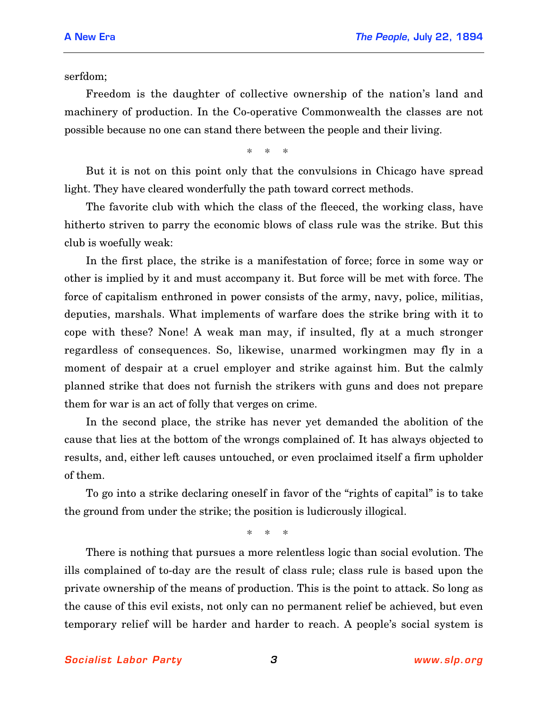serfdom;

Freedom is the daughter of collective ownership of the nation's land and machinery of production. In the Co-operative Commonwealth the classes are not possible because no one can stand there between the people and their living.

\* \* \*

But it is not on this point only that the convulsions in Chicago have spread light. They have cleared wonderfully the path toward correct methods.

The favorite club with which the class of the fleeced, the working class, have hitherto striven to parry the economic blows of class rule was the strike. But this club is woefully weak:

In the first place, the strike is a manifestation of force; force in some way or other is implied by it and must accompany it. But force will be met with force. The force of capitalism enthroned in power consists of the army, navy, police, militias, deputies, marshals. What implements of warfare does the strike bring with it to cope with these? None! A weak man may, if insulted, fly at a much stronger regardless of consequences. So, likewise, unarmed workingmen may fly in a moment of despair at a cruel employer and strike against him. But the calmly planned strike that does not furnish the strikers with guns and does not prepare them for war is an act of folly that verges on crime.

In the second place, the strike has never yet demanded the abolition of the cause that lies at the bottom of the wrongs complained of. It has always objected to results, and, either left causes untouched, or even proclaimed itself a firm upholder of them.

To go into a strike declaring oneself in favor of the "rights of capital" is to take the ground from under the strike; the position is ludicrously illogical.

\* \* \*

There is nothing that pursues a more relentless logic than social evolution. The ills complained of to-day are the result of class rule; class rule is based upon the private ownership of the means of production. This is the point to attack. So long as the cause of this evil exists, not only can no permanent relief be achieved, but even temporary relief will be harder and harder to reach. A people's social system is